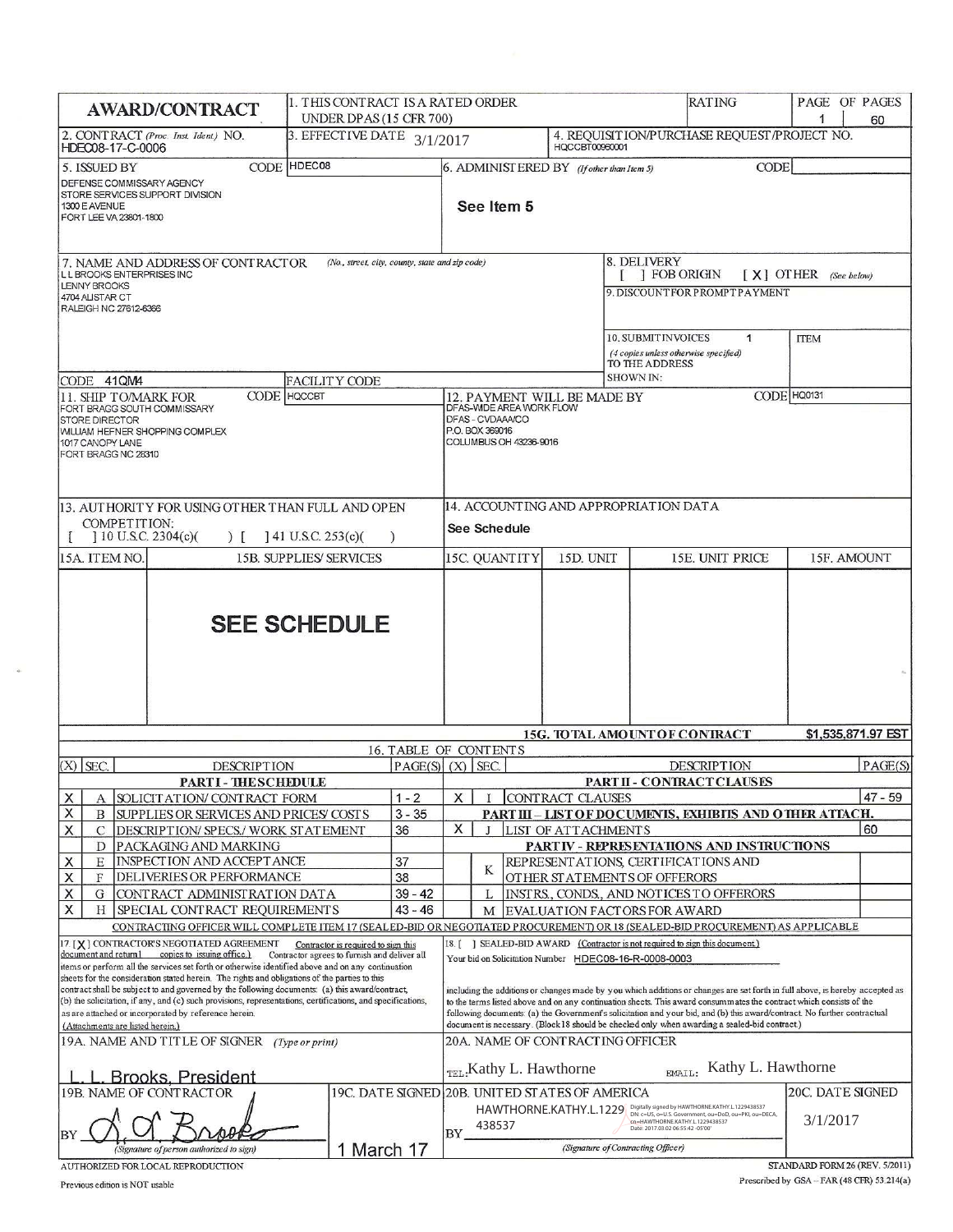| <b>AWARD/CONTRACT</b>                                                                                                                                                                                                                                                                                                                                                                                                                                                                                                                                                                                                                                                                                     | 1. THIS CONTRACT IS A RATED ORDER<br>UNDER DPAS (15 CFR 700) |                       |                                                                                                                                                                                                                                                                                                                                                                                                                                                                                                                                                                                                                              |                                                                                          |  |                                                             |                  | RATING                                                                                                                                         |                         | PAGE OF PAGES<br>60 |
|-----------------------------------------------------------------------------------------------------------------------------------------------------------------------------------------------------------------------------------------------------------------------------------------------------------------------------------------------------------------------------------------------------------------------------------------------------------------------------------------------------------------------------------------------------------------------------------------------------------------------------------------------------------------------------------------------------------|--------------------------------------------------------------|-----------------------|------------------------------------------------------------------------------------------------------------------------------------------------------------------------------------------------------------------------------------------------------------------------------------------------------------------------------------------------------------------------------------------------------------------------------------------------------------------------------------------------------------------------------------------------------------------------------------------------------------------------------|------------------------------------------------------------------------------------------|--|-------------------------------------------------------------|------------------|------------------------------------------------------------------------------------------------------------------------------------------------|-------------------------|---------------------|
| 2. CONTRACT (Proc. Inst. Ident.) NO.<br>HDEC08-17-C-0006                                                                                                                                                                                                                                                                                                                                                                                                                                                                                                                                                                                                                                                  | 3. EFFECTIVE DATE 3/1/2017                                   |                       |                                                                                                                                                                                                                                                                                                                                                                                                                                                                                                                                                                                                                              |                                                                                          |  | HOCCBT00960001                                              |                  | 4. REQUISITION/PURCHASE REQUEST/PROJECT NO.                                                                                                    |                         |                     |
| 5. ISSUED BY<br>DEFENSE COMMISSARY AGENCY<br>STORE SERVICES SUPPORT DIVISION<br>1300 E AVENUE<br>FORT LEE VA 23801-1800                                                                                                                                                                                                                                                                                                                                                                                                                                                                                                                                                                                   | CODE HDEC08                                                  |                       |                                                                                                                                                                                                                                                                                                                                                                                                                                                                                                                                                                                                                              | See Item 5                                                                               |  | 6. ADMINIST ERED BY (If other than Item 5)                  |                  | <b>CODE</b>                                                                                                                                    |                         |                     |
| 7. NAME AND ADDRESS OF CONTRACTOR<br>(No., street, city, county, state and zip code)<br>L L BROOKS ENTERPRISES INC                                                                                                                                                                                                                                                                                                                                                                                                                                                                                                                                                                                        |                                                              |                       |                                                                                                                                                                                                                                                                                                                                                                                                                                                                                                                                                                                                                              |                                                                                          |  |                                                             | 8. DELIVERY      | [ ] FOB ORIGIN                                                                                                                                 | $[X]$ OTHER (See below) |                     |
| <b>LENNY BROOKS</b><br>4704 ALISTAR CT<br>RALEIGH NC 27612-6366                                                                                                                                                                                                                                                                                                                                                                                                                                                                                                                                                                                                                                           |                                                              |                       |                                                                                                                                                                                                                                                                                                                                                                                                                                                                                                                                                                                                                              |                                                                                          |  |                                                             |                  | 9. DISCOUNTFOR PROMPTPAYMENT                                                                                                                   |                         |                     |
| CODE 41QM4                                                                                                                                                                                                                                                                                                                                                                                                                                                                                                                                                                                                                                                                                                | <b>FACILITY CODE</b>                                         |                       |                                                                                                                                                                                                                                                                                                                                                                                                                                                                                                                                                                                                                              |                                                                                          |  |                                                             | <b>SHOWN IN:</b> | <b>10. SUBMIT INVOICES</b><br>$\mathbf{1}$<br>(4 copies unless otherwise specified)<br>TO THE ADDRESS                                          | <b>ITEM</b>             |                     |
| CODE HOCCBT<br><b>11. SHIP TO/MARK FOR</b>                                                                                                                                                                                                                                                                                                                                                                                                                                                                                                                                                                                                                                                                |                                                              |                       |                                                                                                                                                                                                                                                                                                                                                                                                                                                                                                                                                                                                                              |                                                                                          |  | 12. PAYMENT WILL BE MADE BY                                 |                  |                                                                                                                                                | CODE HQ0131             |                     |
| FORT BRAGG SOUTH COMMISSARY<br><b>STORE DIRECTOR</b><br><b>WILLIAM HEFNER SHOPPING COMPLEX</b><br>1017 CANOPY LANE<br>FORT BRAGG NC 28310                                                                                                                                                                                                                                                                                                                                                                                                                                                                                                                                                                 |                                                              |                       |                                                                                                                                                                                                                                                                                                                                                                                                                                                                                                                                                                                                                              | DFAS-WDE AREA WORK FLOW<br>DFAS - CVDAAA/CO<br>P.O. BOX 369016<br>COLUMBUS OH 43236-9016 |  |                                                             |                  |                                                                                                                                                |                         |                     |
| 13. AUTHORITY FOR USING OTHER THAN FULL AND OPEN<br><b>COMPETITION:</b>                                                                                                                                                                                                                                                                                                                                                                                                                                                                                                                                                                                                                                   |                                                              |                       |                                                                                                                                                                                                                                                                                                                                                                                                                                                                                                                                                                                                                              |                                                                                          |  |                                                             |                  | 14. ACCOUNTING AND APPROPRIATION DATA                                                                                                          |                         |                     |
| $110$ U.S.C. 2304(c)(<br>$\overline{1}$                                                                                                                                                                                                                                                                                                                                                                                                                                                                                                                                                                                                                                                                   | $141$ U.S.C. 253(c)(                                         |                       |                                                                                                                                                                                                                                                                                                                                                                                                                                                                                                                                                                                                                              | See Schedule                                                                             |  |                                                             |                  |                                                                                                                                                |                         |                     |
| 15A. ITEM NO.                                                                                                                                                                                                                                                                                                                                                                                                                                                                                                                                                                                                                                                                                             | <b>15B. SUPPLIES/SERVICES</b>                                |                       |                                                                                                                                                                                                                                                                                                                                                                                                                                                                                                                                                                                                                              | 15C. QUANTITY                                                                            |  | 15D. UNIT                                                   |                  | 15E. UNIT PRICE                                                                                                                                |                         | 15F. AMOUNT         |
|                                                                                                                                                                                                                                                                                                                                                                                                                                                                                                                                                                                                                                                                                                           | <b>SEE SCHEDULE</b>                                          |                       |                                                                                                                                                                                                                                                                                                                                                                                                                                                                                                                                                                                                                              |                                                                                          |  |                                                             |                  |                                                                                                                                                |                         |                     |
|                                                                                                                                                                                                                                                                                                                                                                                                                                                                                                                                                                                                                                                                                                           |                                                              | 16. TABLE OF CONTENTS |                                                                                                                                                                                                                                                                                                                                                                                                                                                                                                                                                                                                                              |                                                                                          |  |                                                             |                  | 15G. TOTAL AMOUNT OF CONTRACT                                                                                                                  |                         | \$1,535,871.97 EST  |
| $(X)$ SEC.<br><b>DESCRIPTION</b>                                                                                                                                                                                                                                                                                                                                                                                                                                                                                                                                                                                                                                                                          |                                                              | PAGE(S)               |                                                                                                                                                                                                                                                                                                                                                                                                                                                                                                                                                                                                                              | $(X)$ SEC.                                                                               |  |                                                             |                  | <b>DESCRIPTION</b>                                                                                                                             |                         | PAGE(S)             |
| <b>PARTI-THESCHEDULE</b>                                                                                                                                                                                                                                                                                                                                                                                                                                                                                                                                                                                                                                                                                  |                                                              |                       |                                                                                                                                                                                                                                                                                                                                                                                                                                                                                                                                                                                                                              |                                                                                          |  |                                                             |                  | PART II - CONTRACT CLAUSES                                                                                                                     |                         |                     |
| х<br>SOLICIT AT ION/ CONTRACT FORM<br>А<br>Χ<br>SUPPLIES OR SERVICES AND PRICES COSTS<br>B                                                                                                                                                                                                                                                                                                                                                                                                                                                                                                                                                                                                                |                                                              | $1 - 2$<br>$3 - 35$   | X                                                                                                                                                                                                                                                                                                                                                                                                                                                                                                                                                                                                                            |                                                                                          |  | CONTRACT CLAUSES                                            |                  | PART III - LIST OF DOCUMENTS, EXHIBITS AND OTHER ATTACH.                                                                                       |                         | 47 - 59             |
| X<br>$\mathcal{C}$<br>DESCRIPTION/SPECS./ WORK STATEMENT                                                                                                                                                                                                                                                                                                                                                                                                                                                                                                                                                                                                                                                  |                                                              | 36                    | X                                                                                                                                                                                                                                                                                                                                                                                                                                                                                                                                                                                                                            |                                                                                          |  | LIST OF ATTACHMENTS                                         |                  |                                                                                                                                                |                         | 60                  |
| PACKAGING AND MARKING<br>D                                                                                                                                                                                                                                                                                                                                                                                                                                                                                                                                                                                                                                                                                |                                                              |                       |                                                                                                                                                                                                                                                                                                                                                                                                                                                                                                                                                                                                                              |                                                                                          |  |                                                             |                  | PARTIV - REPRESENTATIONS AND INSTRUCTIONS                                                                                                      |                         |                     |
| X<br>INSPECTION AND ACCEPTANCE<br>E<br>X<br>DELIVERIES OR PERFORMANCE<br>F                                                                                                                                                                                                                                                                                                                                                                                                                                                                                                                                                                                                                                |                                                              | 37<br>38              |                                                                                                                                                                                                                                                                                                                                                                                                                                                                                                                                                                                                                              | K                                                                                        |  |                                                             |                  | REPRESENT ATIONS, CERTIFICATIONS AND<br>OTHER STATEMENTS OF OFFERORS                                                                           |                         |                     |
| Χ<br>G<br>CONTRACT ADMINISTRATION DATA                                                                                                                                                                                                                                                                                                                                                                                                                                                                                                                                                                                                                                                                    |                                                              | $39 - 42$             |                                                                                                                                                                                                                                                                                                                                                                                                                                                                                                                                                                                                                              | L                                                                                        |  |                                                             |                  | INSTRS., CONDS., AND NOTICES TO OFFERORS                                                                                                       |                         |                     |
| Χ<br>SPECIAL CONTRACT REQUIREMENTS<br>Н                                                                                                                                                                                                                                                                                                                                                                                                                                                                                                                                                                                                                                                                   |                                                              | $43 - 46$             |                                                                                                                                                                                                                                                                                                                                                                                                                                                                                                                                                                                                                              | M                                                                                        |  |                                                             |                  | EVALUATION FACTORS FOR AWARD                                                                                                                   |                         |                     |
| CONTRACTING OFFICER WILL COMPLETE ITEM 17 (SEALED-BID OR NEGOTIATED PROCUREMENT) OR 18 (SEALED-BID PROCUREMENT) AS APPLICABLE                                                                                                                                                                                                                                                                                                                                                                                                                                                                                                                                                                             |                                                              |                       |                                                                                                                                                                                                                                                                                                                                                                                                                                                                                                                                                                                                                              |                                                                                          |  |                                                             |                  |                                                                                                                                                |                         |                     |
| 17. [X] CONTRACTOR'S NEGOTIATED AGREEMENT<br>Contractor is required to sign this<br>document and return1<br>copies to issuing office.)<br>Contractor agrees to furnish and deliver all<br>items or perform all the services set forth or otherwise identified above and on any continuation<br>sheets for the consideration stated herein. The rights and obligations of the parties to this<br>contract shall be subject to and governed by the following documents: (a) this award/contract,<br>(b) the solicitation, if any, and (c) such provisions, representations, certifications, and specifications,<br>as are attached or incorporated by reference herein.<br>(Attachments are listed herein.) |                                                              |                       | ] SEALED-BID AWARD (Contractor is not required to sign this document.)<br>18. [<br>Your bid on Solicitation Number HDEC08-16-R-0008-0003<br>including the additions or changes made by you which additions or changes are set forth in full above, is hereby accepted as<br>to the terms listed above and on any continuation sheets. This award consummates the contract which consists of the<br>following documents: (a) the Government's solicitation and your bid, and (b) this award/contract. No further contractual<br>document is necessary. (Block 18 should be checked only when awarding a sealed-bid contract.) |                                                                                          |  |                                                             |                  |                                                                                                                                                |                         |                     |
| 19A. NAME AND TITLE OF SIGNER (Type or print)                                                                                                                                                                                                                                                                                                                                                                                                                                                                                                                                                                                                                                                             |                                                              |                       |                                                                                                                                                                                                                                                                                                                                                                                                                                                                                                                                                                                                                              |                                                                                          |  | 20A. NAME OF CONTRACTING OFFICER<br>TEL: Kathy L. Hawthorne |                  | Kathy L. Hawthorne<br><b>EMAIL:</b>                                                                                                            |                         |                     |
| L. L. Brooks, President<br>19B. NAME OF CONTRACTOR                                                                                                                                                                                                                                                                                                                                                                                                                                                                                                                                                                                                                                                        |                                                              |                       |                                                                                                                                                                                                                                                                                                                                                                                                                                                                                                                                                                                                                              |                                                                                          |  | 19C. DATE SIGNED 20B. UNITED STATES OF AMERICA              |                  |                                                                                                                                                | <b>20C. DATE SIGNED</b> |                     |
|                                                                                                                                                                                                                                                                                                                                                                                                                                                                                                                                                                                                                                                                                                           |                                                              |                       | BY                                                                                                                                                                                                                                                                                                                                                                                                                                                                                                                                                                                                                           | 438537                                                                                   |  |                                                             |                  | HAWTHORNE.KATHY.L.1229 Digitally signed by HAWTHORNEXATHY.L.1229438537<br>cn=HAWTHORNE.KATHY.L.1229438537<br>Date: 2017.03.02 06:55:42 -05'00' | 3/1/2017                |                     |
| 1 March 17<br>(Signature of person authorized to sign)                                                                                                                                                                                                                                                                                                                                                                                                                                                                                                                                                                                                                                                    |                                                              |                       |                                                                                                                                                                                                                                                                                                                                                                                                                                                                                                                                                                                                                              | (Signature of Contracting Officer)                                                       |  |                                                             |                  |                                                                                                                                                |                         |                     |

AUTHORIZED FOR LOCAL REPRODUCTION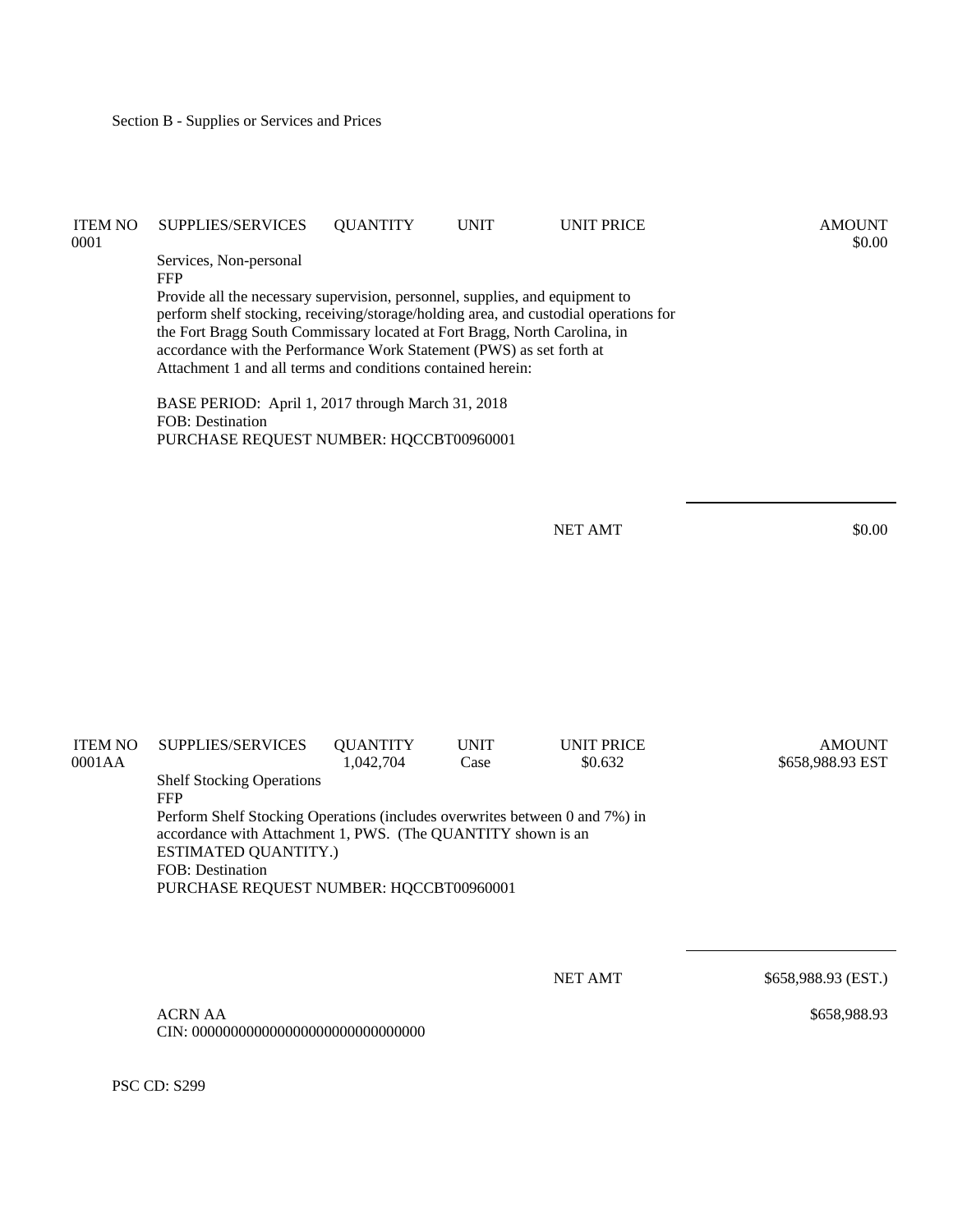| <b>ITEM NO</b><br>0001 | <b>SUPPLIES/SERVICES</b>                                                                                                                                                                                                                                                                                                                                                                                                                                                                                          | <b>QUANTITY</b> | <b>UNIT</b> | <b>UNIT PRICE</b> | <b>AMOUNT</b><br>\$0.00 |
|------------------------|-------------------------------------------------------------------------------------------------------------------------------------------------------------------------------------------------------------------------------------------------------------------------------------------------------------------------------------------------------------------------------------------------------------------------------------------------------------------------------------------------------------------|-----------------|-------------|-------------------|-------------------------|
|                        | Services, Non-personal<br><b>FFP</b><br>Provide all the necessary supervision, personnel, supplies, and equipment to<br>perform shelf stocking, receiving/storage/holding area, and custodial operations for<br>the Fort Bragg South Commissary located at Fort Bragg, North Carolina, in<br>accordance with the Performance Work Statement (PWS) as set forth at<br>Attachment 1 and all terms and conditions contained herein:<br>BASE PERIOD: April 1, 2017 through March 31, 2018<br><b>FOB</b> : Destination |                 |             |                   |                         |
|                        | PURCHASE REQUEST NUMBER: HQCCBT00960001                                                                                                                                                                                                                                                                                                                                                                                                                                                                           |                 |             | <b>NET AMT</b>    | \$0.00                  |

| <b>ITEM NO</b> | SUPPLIES/SERVICES                                                                                                                                                          | <b>QUANTITY</b> | <b>UNIT</b> | <b>UNIT PRICE</b> | <b>AMOUNT</b>    |  |  |  |
|----------------|----------------------------------------------------------------------------------------------------------------------------------------------------------------------------|-----------------|-------------|-------------------|------------------|--|--|--|
| 0001AA         |                                                                                                                                                                            | 1.042.704       | Case        | \$0.632           | \$658,988.93 EST |  |  |  |
|                | <b>Shelf Stocking Operations</b>                                                                                                                                           |                 |             |                   |                  |  |  |  |
|                | <b>FFP</b>                                                                                                                                                                 |                 |             |                   |                  |  |  |  |
|                | Perform Shelf Stocking Operations (includes overwrites between 0 and 7%) in<br>accordance with Attachment 1, PWS. (The QUANTITY shown is an<br><b>ESTIMATED QUANTITY.)</b> |                 |             |                   |                  |  |  |  |
|                | FOB: Destination                                                                                                                                                           |                 |             |                   |                  |  |  |  |
|                | PURCHASE REQUEST NUMBER: HQCCBT00960001                                                                                                                                    |                 |             |                   |                  |  |  |  |
|                |                                                                                                                                                                            |                 |             |                   |                  |  |  |  |

NET AMT \$658,988.93 (EST.)

\$658,988.93

 ACRN AA CIN: 000000000000000000000000000000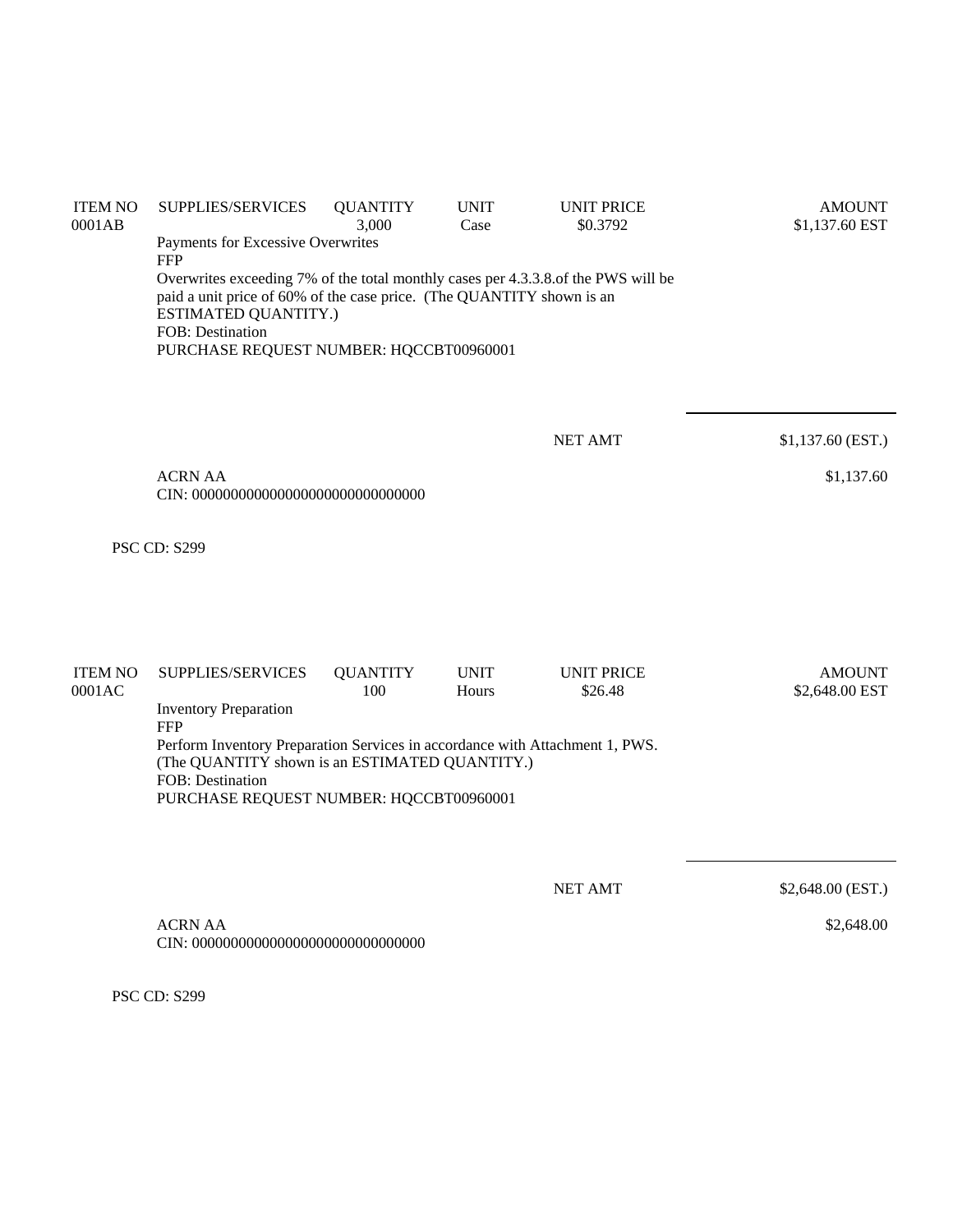| <b>ITEM NO</b><br>0001AB | SUPPLIES/SERVICES                                                                               | <b>QUANTITY</b><br>3,000 | <b>UNIT</b><br>Case | <b>UNIT PRICE</b><br>\$0.3792 | <b>AMOUNT</b><br>\$1,137.60 EST |
|--------------------------|-------------------------------------------------------------------------------------------------|--------------------------|---------------------|-------------------------------|---------------------------------|
|                          | Payments for Excessive Overwrites                                                               |                          |                     |                               |                                 |
|                          | <b>FFP</b><br>Overwrites exceeding 7% of the total monthly cases per 4.3.3.8.of the PWS will be |                          |                     |                               |                                 |
|                          | paid a unit price of 60% of the case price. (The QUANTITY shown is an                           |                          |                     |                               |                                 |
|                          | ESTIMATED QUANTITY.)                                                                            |                          |                     |                               |                                 |
|                          | FOB: Destination<br>PURCHASE REQUEST NUMBER: HQCCBT00960001                                     |                          |                     |                               |                                 |
|                          |                                                                                                 |                          |                     |                               |                                 |
|                          |                                                                                                 |                          |                     |                               |                                 |
|                          |                                                                                                 |                          |                     |                               |                                 |
|                          |                                                                                                 |                          |                     | <b>NET AMT</b>                | $$1,137.60$ (EST.)              |
|                          | <b>ACRN AA</b>                                                                                  |                          |                     |                               | \$1,137.60                      |
|                          |                                                                                                 |                          |                     |                               |                                 |
|                          |                                                                                                 |                          |                     |                               |                                 |
|                          | <b>PSC CD: S299</b>                                                                             |                          |                     |                               |                                 |
|                          |                                                                                                 |                          |                     |                               |                                 |
|                          |                                                                                                 |                          |                     |                               |                                 |
|                          |                                                                                                 |                          |                     |                               |                                 |
| <b>ITEM NO</b>           | SUPPLIES/SERVICES                                                                               | <b>QUANTITY</b>          | <b>UNIT</b>         | <b>UNIT PRICE</b>             | <b>AMOUNT</b>                   |
| 0001AC                   |                                                                                                 | 100                      | Hours               | \$26.48                       | \$2,648.00 EST                  |
|                          | <b>Inventory Preparation</b><br><b>FFP</b>                                                      |                          |                     |                               |                                 |
|                          | Perform Inventory Preparation Services in accordance with Attachment 1, PWS.                    |                          |                     |                               |                                 |
|                          | (The QUANTITY shown is an ESTIMATED QUANTITY.)                                                  |                          |                     |                               |                                 |
|                          | FOB: Destination<br>PURCHASE REQUEST NUMBER: HQCCBT00960001                                     |                          |                     |                               |                                 |
|                          |                                                                                                 |                          |                     |                               |                                 |
|                          |                                                                                                 |                          |                     |                               |                                 |
|                          |                                                                                                 |                          |                     | <b>NET AMT</b>                | \$2,648.00 (EST.)               |
|                          |                                                                                                 |                          |                     |                               |                                 |

\$2,648.00

 ACRN AA CIN: 000000000000000000000000000000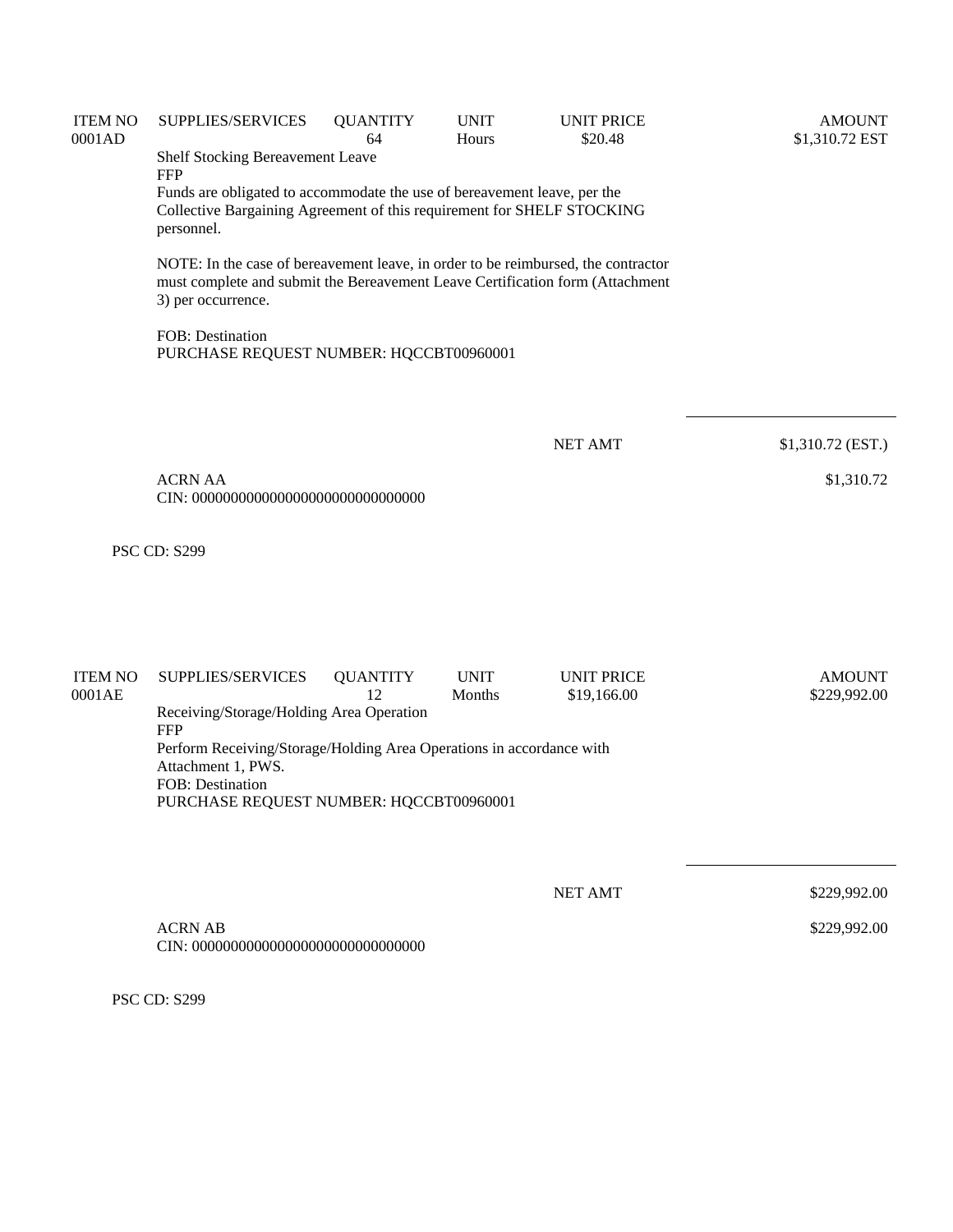| <b>ITEM NO</b><br>0001AD | SUPPLIES/SERVICES                                                                                                                                                                        | <b>QUANTITY</b><br>64 | <b>UNIT</b><br>Hours | <b>UNIT PRICE</b><br>\$20.48 | <b>AMOUNT</b><br>\$1,310.72 EST |
|--------------------------|------------------------------------------------------------------------------------------------------------------------------------------------------------------------------------------|-----------------------|----------------------|------------------------------|---------------------------------|
|                          | Shelf Stocking Bereavement Leave<br><b>FFP</b>                                                                                                                                           |                       |                      |                              |                                 |
|                          | Funds are obligated to accommodate the use of bereavement leave, per the<br>Collective Bargaining Agreement of this requirement for SHELF STOCKING<br>personnel.                         |                       |                      |                              |                                 |
|                          | NOTE: In the case of bereavement leave, in order to be reimbursed, the contractor<br>must complete and submit the Bereavement Leave Certification form (Attachment<br>3) per occurrence. |                       |                      |                              |                                 |
|                          | FOB: Destination<br>PURCHASE REQUEST NUMBER: HQCCBT00960001                                                                                                                              |                       |                      |                              |                                 |
|                          |                                                                                                                                                                                          |                       |                      | <b>NET AMT</b>               | \$1,310.72 (EST.)               |
|                          | <b>ACRN AA</b>                                                                                                                                                                           |                       |                      |                              | \$1,310.72                      |
|                          | <b>PSC CD: S299</b>                                                                                                                                                                      |                       |                      |                              |                                 |
| <b>ITEM NO</b>           | SUPPLIES/SERVICES                                                                                                                                                                        | <b>QUANTITY</b><br>12 | <b>UNIT</b>          | <b>UNIT PRICE</b>            | <b>AMOUNT</b>                   |
| 0001AE                   | Receiving/Storage/Holding Area Operation                                                                                                                                                 |                       | Months               | \$19,166.00                  | \$229,992.00                    |
|                          | <b>FFP</b><br>Perform Receiving/Storage/Holding Area Operations in accordance with<br>Attachment 1, PWS.<br>FOB: Destination<br>PURCHASE REQUEST NUMBER: HQCCBT00960001                  |                       |                      |                              |                                 |
|                          |                                                                                                                                                                                          |                       |                      |                              |                                 |
|                          |                                                                                                                                                                                          |                       |                      | <b>NET AMT</b>               | \$229,992.00                    |
|                          | <b>ACRN AB</b>                                                                                                                                                                           |                       |                      |                              | \$229,992.00                    |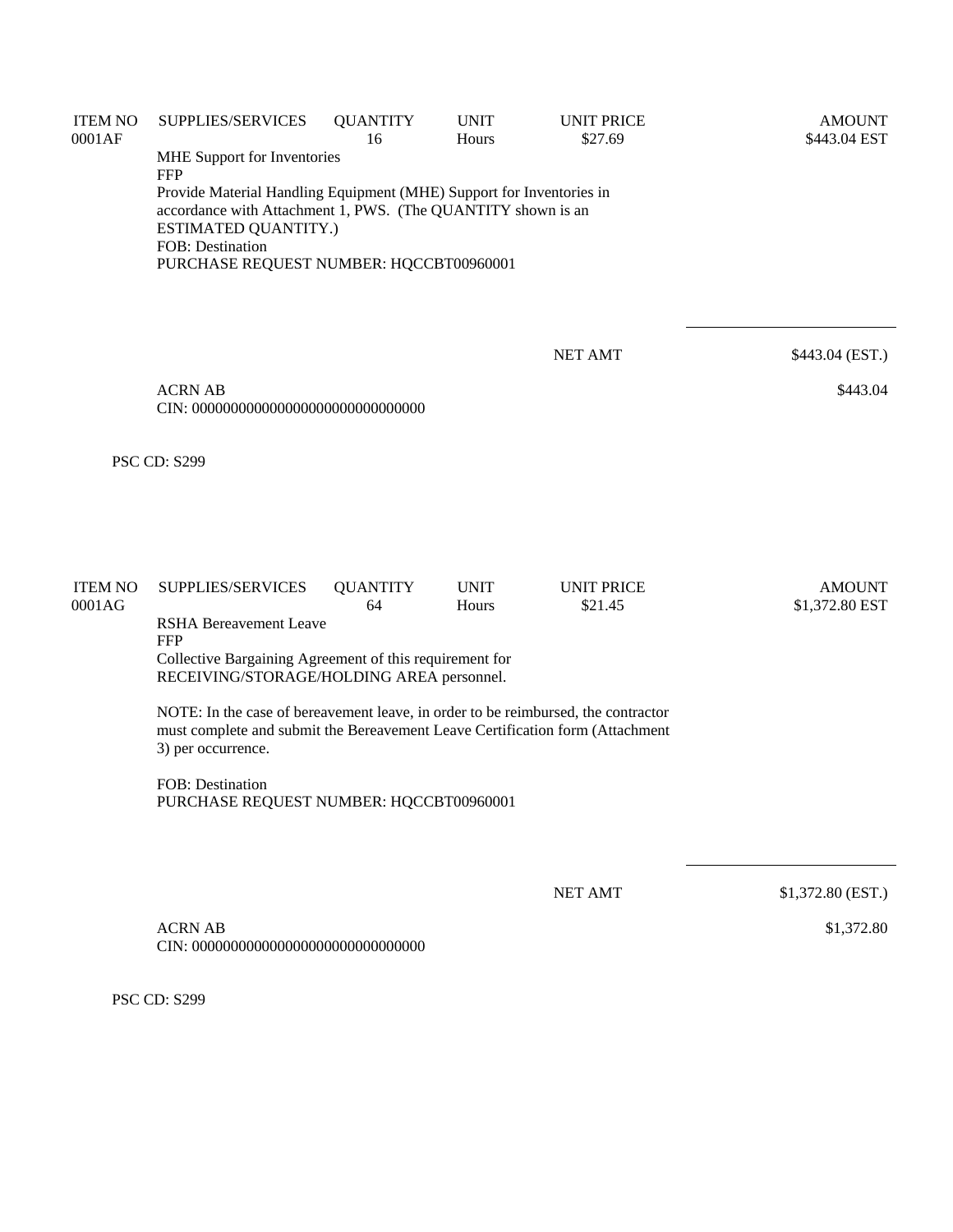| <b>ITEM NO</b><br>0001AF | SUPPLIES/SERVICES                                                                                                                                                                                                           | <b>QUANTITY</b><br>16 | <b>UNIT</b><br>Hours | <b>UNIT PRICE</b><br>\$27.69 | <b>AMOUNT</b><br>\$443.04 EST |
|--------------------------|-----------------------------------------------------------------------------------------------------------------------------------------------------------------------------------------------------------------------------|-----------------------|----------------------|------------------------------|-------------------------------|
|                          | MHE Support for Inventories<br><b>FFP</b>                                                                                                                                                                                   |                       |                      |                              |                               |
|                          | Provide Material Handling Equipment (MHE) Support for Inventories in<br>accordance with Attachment 1, PWS. (The QUANTITY shown is an<br>ESTIMATED QUANTITY.)<br>FOB: Destination<br>PURCHASE REQUEST NUMBER: HQCCBT00960001 |                       |                      |                              |                               |
|                          |                                                                                                                                                                                                                             |                       |                      | <b>NET AMT</b>               | \$443.04 (EST.)               |
|                          | <b>ACRN AB</b>                                                                                                                                                                                                              |                       |                      |                              | \$443.04                      |
|                          | <b>PSC CD: S299</b>                                                                                                                                                                                                         |                       |                      |                              |                               |
| <b>ITEM NO</b>           | SUPPLIES/SERVICES                                                                                                                                                                                                           | <b>QUANTITY</b>       | <b>UNIT</b>          | <b>UNIT PRICE</b>            | <b>AMOUNT</b>                 |
| 0001AG                   | <b>RSHA Bereavement Leave</b><br><b>FFP</b>                                                                                                                                                                                 | 64                    | Hours                | \$21.45                      | \$1,372.80 EST                |
|                          | Collective Bargaining Agreement of this requirement for<br>RECEIVING/STORAGE/HOLDING AREA personnel.                                                                                                                        |                       |                      |                              |                               |
|                          | NOTE: In the case of bereavement leave, in order to be reimbursed, the contractor<br>must complete and submit the Bereavement Leave Certification form (Attachment<br>3) per occurrence.                                    |                       |                      |                              |                               |
|                          | <b>FOB: Destination</b><br>PURCHASE REQUEST NUMBER: HQCCBT00960001                                                                                                                                                          |                       |                      |                              |                               |
|                          |                                                                                                                                                                                                                             |                       |                      | <b>NET AMT</b>               | \$1,372.80 (EST.)             |
|                          | <b>ACRN AB</b>                                                                                                                                                                                                              |                       |                      |                              | \$1,372.80                    |
|                          |                                                                                                                                                                                                                             |                       |                      |                              |                               |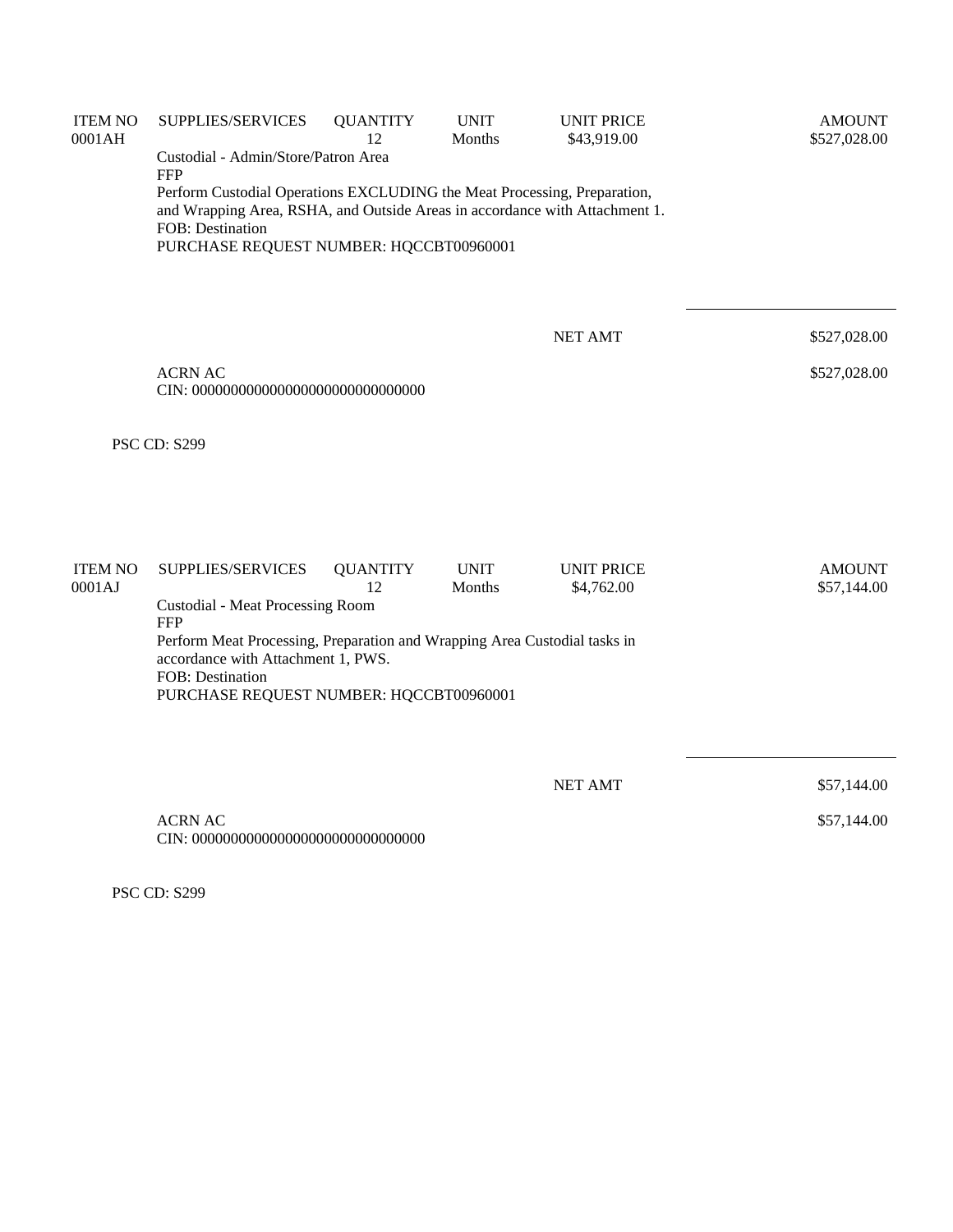| <b>ITEM NO</b><br>0001AH | SUPPLIES/SERVICES                                                                                                                                                                                                                    | <b>QUANTITY</b><br>12 | <b>UNIT</b><br>Months | <b>UNIT PRICE</b><br>\$43,919.00 | <b>AMOUNT</b><br>\$527,028.00 |
|--------------------------|--------------------------------------------------------------------------------------------------------------------------------------------------------------------------------------------------------------------------------------|-----------------------|-----------------------|----------------------------------|-------------------------------|
|                          | Custodial - Admin/Store/Patron Area                                                                                                                                                                                                  |                       |                       |                                  |                               |
|                          | <b>FFP</b><br>Perform Custodial Operations EXCLUDING the Meat Processing, Preparation,<br>and Wrapping Area, RSHA, and Outside Areas in accordance with Attachment 1.<br>FOB: Destination<br>PURCHASE REQUEST NUMBER: HQCCBT00960001 |                       |                       |                                  |                               |
|                          |                                                                                                                                                                                                                                      |                       |                       | <b>NET AMT</b>                   | \$527,028.00                  |
|                          | <b>ACRN AC</b>                                                                                                                                                                                                                       |                       |                       |                                  | \$527,028.00                  |
|                          | <b>PSC CD: S299</b>                                                                                                                                                                                                                  |                       |                       |                                  |                               |
|                          |                                                                                                                                                                                                                                      |                       |                       |                                  |                               |
| <b>ITEM NO</b><br>0001AJ | SUPPLIES/SERVICES<br><b>Custodial - Meat Processing Room</b>                                                                                                                                                                         | <b>QUANTITY</b><br>12 | <b>UNIT</b><br>Months | <b>UNIT PRICE</b><br>\$4,762.00  | <b>AMOUNT</b><br>\$57,144.00  |
|                          | <b>FFP</b><br>Perform Meat Processing, Preparation and Wrapping Area Custodial tasks in<br>accordance with Attachment 1, PWS.<br>FOB: Destination<br>PURCHASE REQUEST NUMBER: HQCCBT00960001                                         |                       |                       |                                  |                               |
|                          |                                                                                                                                                                                                                                      |                       |                       |                                  |                               |
|                          |                                                                                                                                                                                                                                      |                       |                       | <b>NET AMT</b>                   | \$57,144.00                   |
|                          | <b>ACRN AC</b>                                                                                                                                                                                                                       |                       |                       |                                  | \$57,144.00                   |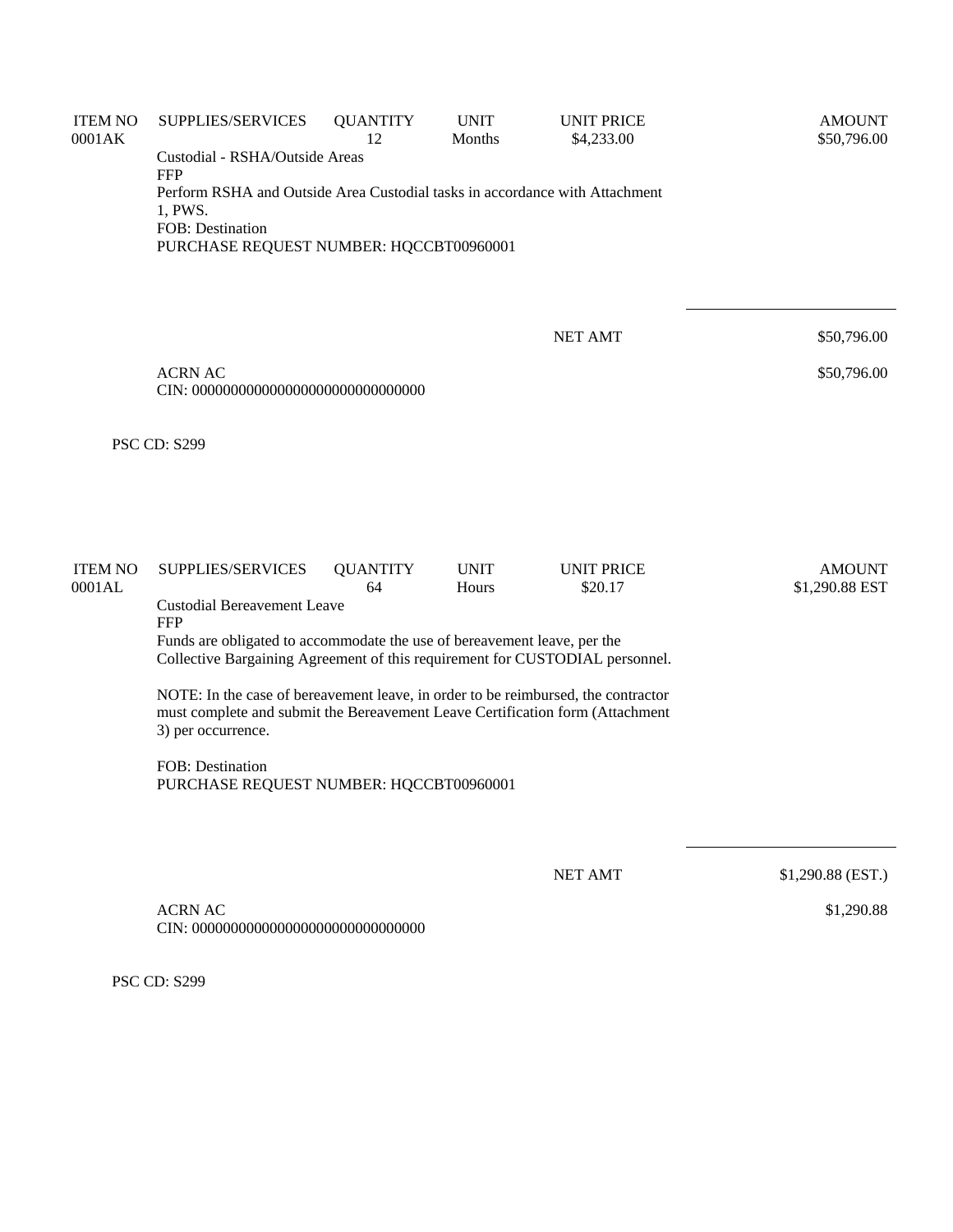| <b>ITEM NO</b><br>0001AK | SUPPLIES/SERVICES                                                                                                                                                                        | <b>QUANTITY</b><br>12 | <b>UNIT</b><br>Months | <b>UNIT PRICE</b><br>\$4,233.00 | <b>AMOUNT</b><br>\$50,796.00    |
|--------------------------|------------------------------------------------------------------------------------------------------------------------------------------------------------------------------------------|-----------------------|-----------------------|---------------------------------|---------------------------------|
|                          | Custodial - RSHA/Outside Areas<br><b>FFP</b>                                                                                                                                             |                       |                       |                                 |                                 |
|                          | Perform RSHA and Outside Area Custodial tasks in accordance with Attachment<br>1, PWS.<br>FOB: Destination<br>PURCHASE REQUEST NUMBER: HQCCBT00960001                                    |                       |                       |                                 |                                 |
|                          |                                                                                                                                                                                          |                       |                       | <b>NET AMT</b>                  | \$50,796.00                     |
|                          | <b>ACRN AC</b>                                                                                                                                                                           |                       |                       |                                 | \$50,796.00                     |
|                          | <b>PSC CD: S299</b>                                                                                                                                                                      |                       |                       |                                 |                                 |
|                          |                                                                                                                                                                                          |                       |                       |                                 |                                 |
| <b>ITEM NO</b><br>0001AL | SUPPLIES/SERVICES                                                                                                                                                                        | <b>QUANTITY</b><br>64 | <b>UNIT</b><br>Hours  | <b>UNIT PRICE</b><br>\$20.17    | <b>AMOUNT</b><br>\$1,290.88 EST |
|                          | <b>Custodial Bereavement Leave</b><br><b>FFP</b>                                                                                                                                         |                       |                       |                                 |                                 |
|                          | Funds are obligated to accommodate the use of bereavement leave, per the<br>Collective Bargaining Agreement of this requirement for CUSTODIAL personnel.                                 |                       |                       |                                 |                                 |
|                          | NOTE: In the case of bereavement leave, in order to be reimbursed, the contractor<br>must complete and submit the Bereavement Leave Certification form (Attachment<br>3) per occurrence. |                       |                       |                                 |                                 |
|                          | FOB: Destination<br>PURCHASE REQUEST NUMBER: HQCCBT00960001                                                                                                                              |                       |                       |                                 |                                 |
|                          |                                                                                                                                                                                          |                       |                       |                                 |                                 |
|                          |                                                                                                                                                                                          |                       |                       | <b>NET AMT</b>                  | \$1,290.88 (EST.)               |
|                          | <b>ACRN AC</b>                                                                                                                                                                           |                       |                       |                                 | \$1,290.88                      |